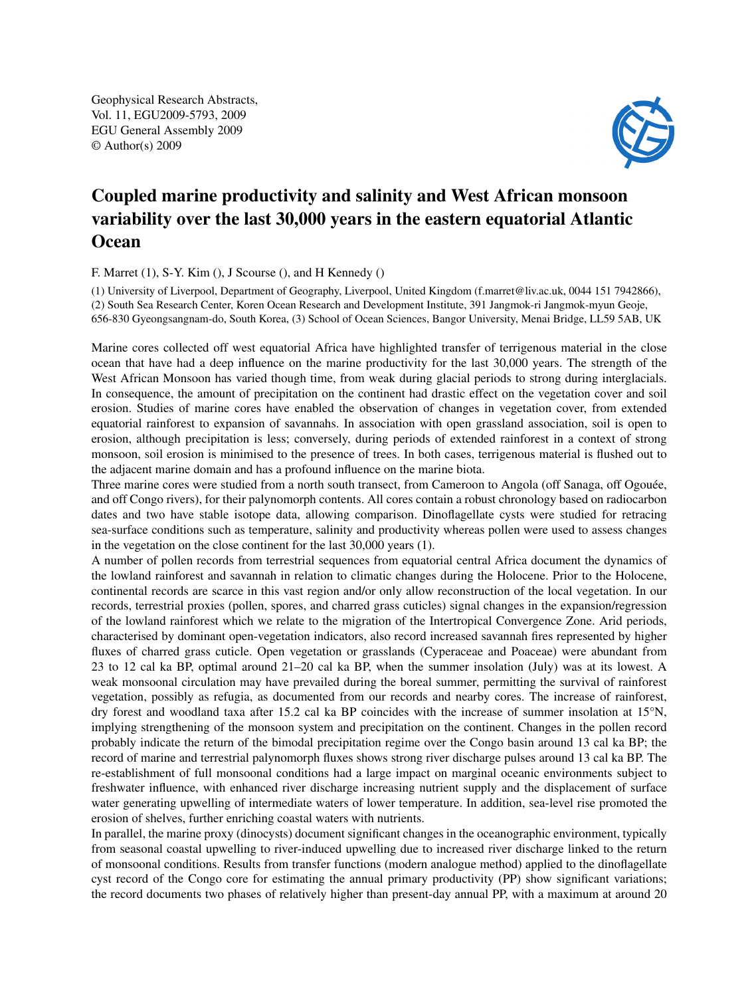Geophysical Research Abstracts, Vol. 11, EGU2009-5793, 2009 EGU General Assembly 2009 © Author(s) 2009



## Coupled marine productivity and salinity and West African monsoon variability over the last 30,000 years in the eastern equatorial Atlantic **Ocean**

## F. Marret (1), S-Y. Kim (), J Scourse (), and H Kennedy ()

(1) University of Liverpool, Department of Geography, Liverpool, United Kingdom (f.marret@liv.ac.uk, 0044 151 7942866), (2) South Sea Research Center, Koren Ocean Research and Development Institute, 391 Jangmok-ri Jangmok-myun Geoje, 656-830 Gyeongsangnam-do, South Korea, (3) School of Ocean Sciences, Bangor University, Menai Bridge, LL59 5AB, UK

Marine cores collected off west equatorial Africa have highlighted transfer of terrigenous material in the close ocean that have had a deep influence on the marine productivity for the last 30,000 years. The strength of the West African Monsoon has varied though time, from weak during glacial periods to strong during interglacials. In consequence, the amount of precipitation on the continent had drastic effect on the vegetation cover and soil erosion. Studies of marine cores have enabled the observation of changes in vegetation cover, from extended equatorial rainforest to expansion of savannahs. In association with open grassland association, soil is open to erosion, although precipitation is less; conversely, during periods of extended rainforest in a context of strong monsoon, soil erosion is minimised to the presence of trees. In both cases, terrigenous material is flushed out to the adjacent marine domain and has a profound influence on the marine biota.

Three marine cores were studied from a north south transect, from Cameroon to Angola (off Sanaga, off Ogouée, and off Congo rivers), for their palynomorph contents. All cores contain a robust chronology based on radiocarbon dates and two have stable isotope data, allowing comparison. Dinoflagellate cysts were studied for retracing sea-surface conditions such as temperature, salinity and productivity whereas pollen were used to assess changes in the vegetation on the close continent for the last 30,000 years (1).

A number of pollen records from terrestrial sequences from equatorial central Africa document the dynamics of the lowland rainforest and savannah in relation to climatic changes during the Holocene. Prior to the Holocene, continental records are scarce in this vast region and/or only allow reconstruction of the local vegetation. In our records, terrestrial proxies (pollen, spores, and charred grass cuticles) signal changes in the expansion/regression of the lowland rainforest which we relate to the migration of the Intertropical Convergence Zone. Arid periods, characterised by dominant open-vegetation indicators, also record increased savannah fires represented by higher fluxes of charred grass cuticle. Open vegetation or grasslands (Cyperaceae and Poaceae) were abundant from 23 to 12 cal ka BP, optimal around 21–20 cal ka BP, when the summer insolation (July) was at its lowest. A weak monsoonal circulation may have prevailed during the boreal summer, permitting the survival of rainforest vegetation, possibly as refugia, as documented from our records and nearby cores. The increase of rainforest, dry forest and woodland taxa after 15.2 cal ka BP coincides with the increase of summer insolation at 15°N, implying strengthening of the monsoon system and precipitation on the continent. Changes in the pollen record probably indicate the return of the bimodal precipitation regime over the Congo basin around 13 cal ka BP; the record of marine and terrestrial palynomorph fluxes shows strong river discharge pulses around 13 cal ka BP. The re-establishment of full monsoonal conditions had a large impact on marginal oceanic environments subject to freshwater influence, with enhanced river discharge increasing nutrient supply and the displacement of surface water generating upwelling of intermediate waters of lower temperature. In addition, sea-level rise promoted the erosion of shelves, further enriching coastal waters with nutrients.

In parallel, the marine proxy (dinocysts) document significant changes in the oceanographic environment, typically from seasonal coastal upwelling to river-induced upwelling due to increased river discharge linked to the return of monsoonal conditions. Results from transfer functions (modern analogue method) applied to the dinoflagellate cyst record of the Congo core for estimating the annual primary productivity (PP) show significant variations; the record documents two phases of relatively higher than present-day annual PP, with a maximum at around 20